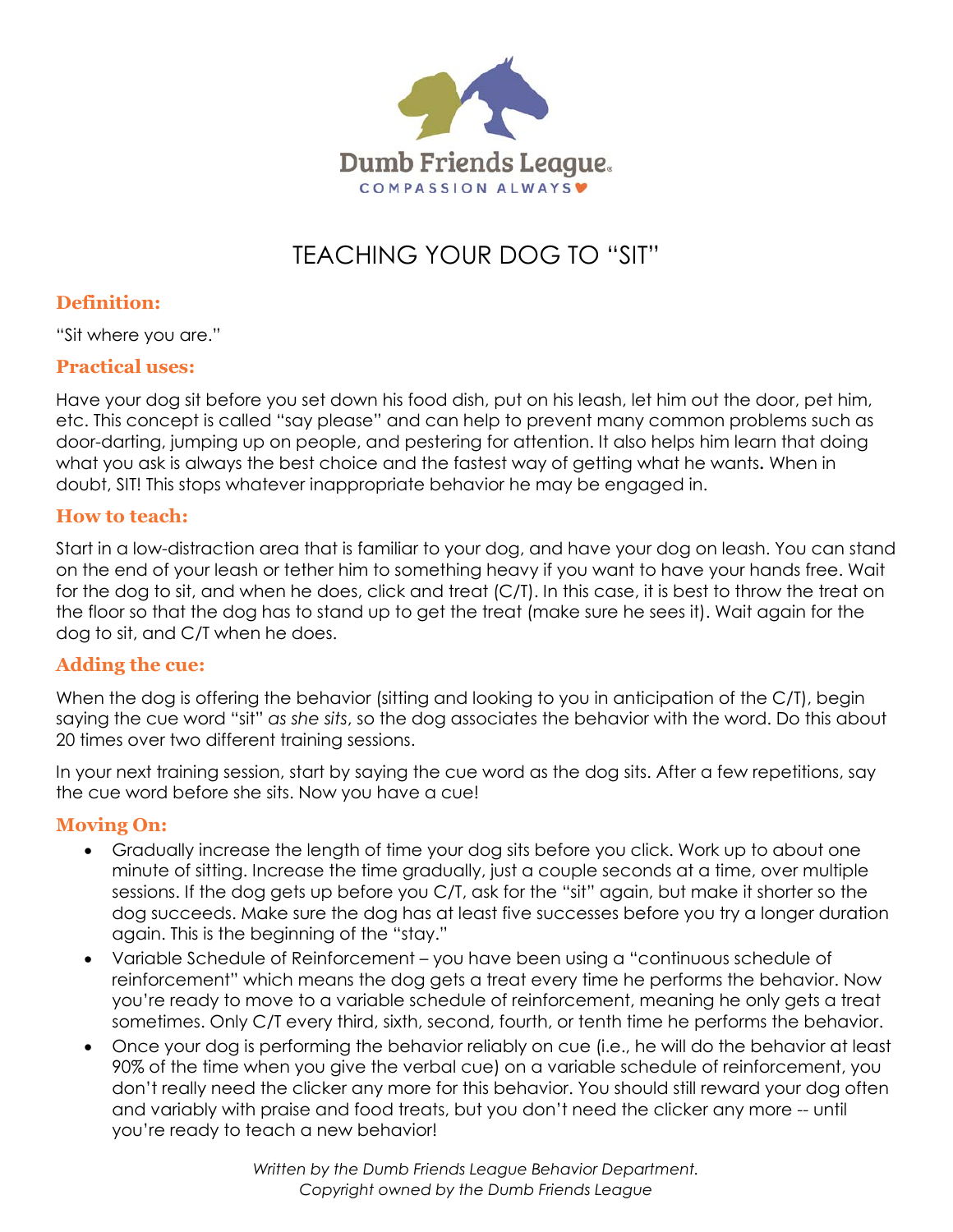

# TEACHING YOUR DOG TO "SIT"

# **Definition:**

"Sit where you are."

#### **Practical uses:**

Have your dog sit before you set down his food dish, put on his leash, let him out the door, pet him, etc. This concept is called "say please" and can help to prevent many common problems such as door-darting, jumping up on people, and pestering for attention. It also helps him learn that doing what you ask is always the best choice and the fastest way of getting what he wants**.** When in doubt, SIT! This stops whatever inappropriate behavior he may be engaged in.

#### **How to teach:**

Start in a low-distraction area that is familiar to your dog, and have your dog on leash. You can stand on the end of your leash or tether him to something heavy if you want to have your hands free. Wait for the dog to sit, and when he does, click and treat (C/T). In this case, it is best to throw the treat on the floor so that the dog has to stand up to get the treat (make sure he sees it). Wait again for the dog to sit, and C/T when he does.

## **Adding the cue:**

When the dog is offering the behavior (sitting and looking to you in anticipation of the C/T), begin saying the cue word "sit" *as she sits*, so the dog associates the behavior with the word. Do this about 20 times over two different training sessions.

In your next training session, start by saying the cue word as the dog sits. After a few repetitions, say the cue word before she sits. Now you have a cue!

## **Moving On:**

- Gradually increase the length of time your dog sits before you click. Work up to about one minute of sitting. Increase the time gradually, just a couple seconds at a time, over multiple sessions. If the dog gets up before you C/T, ask for the "sit" again, but make it shorter so the dog succeeds. Make sure the dog has at least five successes before you try a longer duration again. This is the beginning of the "stay."
- Variable Schedule of Reinforcement you have been using a "continuous schedule of reinforcement" which means the dog gets a treat every time he performs the behavior. Now you're ready to move to a variable schedule of reinforcement, meaning he only gets a treat sometimes. Only C/T every third, sixth, second, fourth, or tenth time he performs the behavior.
- Once your dog is performing the behavior reliably on cue (i.e., he will do the behavior at least 90% of the time when you give the verbal cue) on a variable schedule of reinforcement, you don't really need the clicker any more for this behavior. You should still reward your dog often and variably with praise and food treats, but you don't need the clicker any more -- until you're ready to teach a new behavior!

*Written by the Dumb Friends League Behavior Department. Copyright owned by the Dumb Friends League*